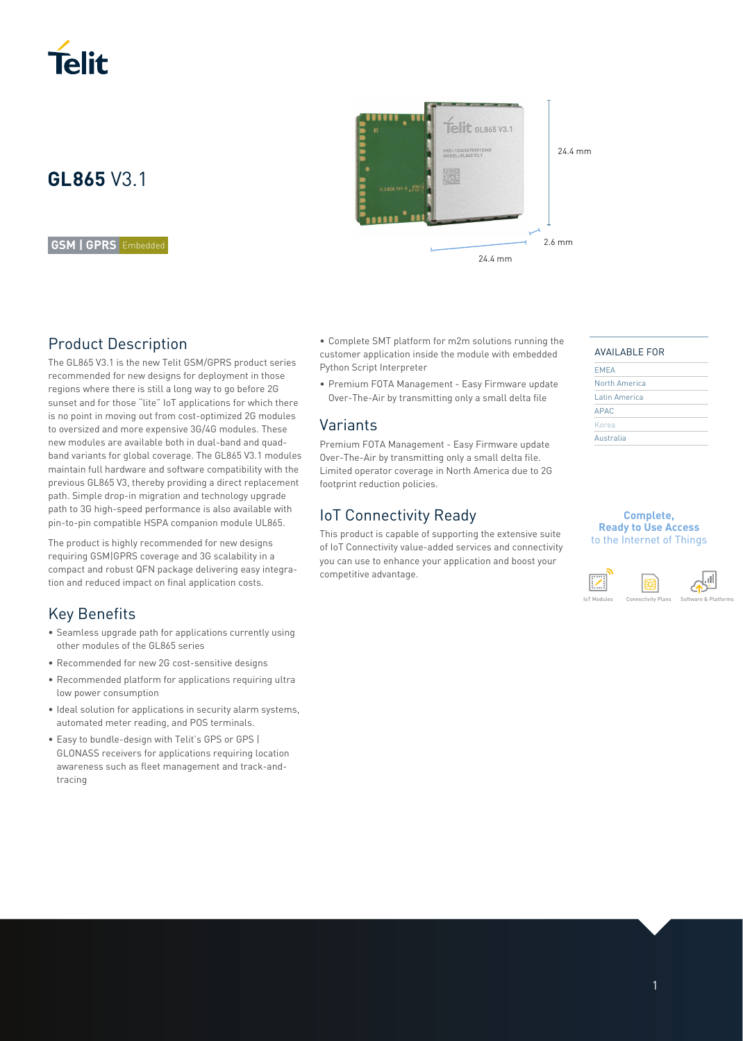

# **GL865** V3.1

#### **GSM | GPRS** Embedded

### Product Description

The GL865 V3.1 is the new Telit GSM/GPRS product series recommended for new designs for deployment in those regions where there is still a long way to go before 2G sunset and for those "lite" IoT applications for which there is no point in moving out from cost-optimized 2G modules to oversized and more expensive 3G/4G modules. These new modules are available both in dual-band and quadband variants for global coverage. The GL865 V3.1 modules maintain full hardware and software compatibility with the previous GL865 V3, thereby providing a direct replacement path. Simple drop-in migration and technology upgrade path to 3G high-speed performance is also available with pin-to-pin compatible HSPA companion module UL865.

The product is highly recommended for new designs requiring GSM|GPRS coverage and 3G scalability in a compact and robust QFN package delivering easy integration and reduced impact on final application costs.

### Key Benefits

- Seamless upgrade path for applications currently using other modules of the GL865 series
- Recommended for new 2G cost-sensitive designs
- Recommended platform for applications requiring ultra low power consumption
- Ideal solution for applications in security alarm systems, automated meter reading, and POS terminals.
- Easy to bundle-design with Telit's GPS or GPS | GLONASS receivers for applications requiring location awareness such as fleet management and track-andtracing



• Complete SMT platform for m2m solutions running the customer application inside the module with embedded Python Script Interpreter

• Premium FOTA Management - Easy Firmware update Over-The-Air by transmitting only a small delta file

### Variants

Premium FOTA Management - Easy Firmware update Over-The-Air by transmitting only a small delta file. Limited operator coverage in North America due to 2G footprint reduction policies.

### IoT Connectivity Ready

This product is capable of supporting the extensive suite of IoT Connectivity value-added services and connectivity you can use to enhance your application and boost your competitive advantage.



| <b>EMEA</b>   |  |
|---------------|--|
| North America |  |
| Latin America |  |
| <b>APAC</b>   |  |
| Korea         |  |
| Australia     |  |

### **Complete, Ready to Use Access**

to the Internet of Things